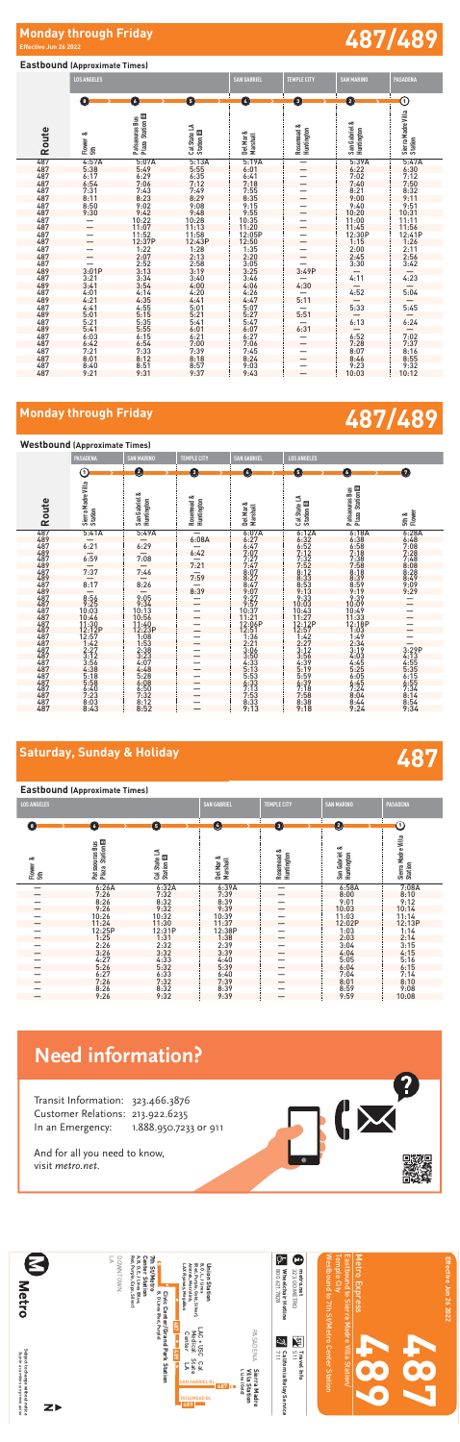## **487 Saturday, Sunday & Holiday**

### **Eastbound (Approximate Times)**

| <b>LOS ANGELES</b> |  |
|--------------------|--|

RIX

| $\left( \begin{array}{c} 3 \end{array} \right)$ | (6)                                | 6                                    | Ø                     | $\left(3\right)$         | $\left( 2\right)$           | 0                  |
|-------------------------------------------------|------------------------------------|--------------------------------------|-----------------------|--------------------------|-----------------------------|--------------------|
| ಂಶ                                              | <b>Station B</b><br>Patsaouras Bus |                                      |                       |                          |                             | Sierra Madre Villa |
| Flower<br>島                                     | Plaza                              | Cal State LA<br>Station <sup>E</sup> | Del Mar &<br>Marshall | Rosemead &<br>Huntington | San Gabriel &<br>Huntington | Station            |
|                                                 | 6:26A                              | 6:32A                                | 6:39A                 |                          | 6:58A                       | 7:08A              |
|                                                 | 7:26                               | 7:32                                 | 7:39                  |                          | 8:00                        | 8:10               |
|                                                 | 8:26                               | 8:32                                 | 8:39                  |                          | 9:01                        | 9:12               |
|                                                 | 9:26                               | 9:32                                 | 9:39                  |                          | 10:03                       | 10:14              |
|                                                 | 10:26                              | 10:32                                | 10:39                 |                          | 11:03                       | 11:14              |
|                                                 | 11:24                              | 11:30                                | 11:37                 |                          | 12:02P                      | 12:13P             |
|                                                 | 12:25P                             | 12:31P                               | 12:38P                |                          | 1:03                        | 1:14               |
|                                                 | 1:25                               | 1:31                                 | 1:38                  |                          | 2:03                        | 2:14               |
|                                                 | 2:26                               | 2:32                                 | 2:39                  |                          | 3:04                        | 3:15               |
|                                                 | 3:26                               | 3:32                                 | 3:39                  |                          | 4:04                        | 4:15               |
|                                                 | 4:27                               | 4:33                                 | 4:40                  |                          | 5:05                        | 5:16               |
|                                                 | 5:26                               | 5:32                                 | 5:39                  |                          | 6:04                        | 6:15               |
|                                                 | 6:27                               | 6:33                                 | 6:40                  |                          | 7:04                        | 7:14               |
|                                                 | 7:26                               | 7:32                                 | 7:39                  |                          | 8:01                        | 8:10               |
|                                                 | 8:26                               | $8:32$<br>$9:32$                     | 8:39                  |                          | $8:59$<br>9:59              | 9:08               |
|                                                 | 9:26                               |                                      | 9:39                  |                          |                             | 10:08              |

## **Need information?**

Transit Information: 323.466.3876 Customer Relations: 213.922.6235 In an Emergency: 1.888.950.7233 or 911

And for all you need to know, visit metro.net.

| E<br><b>Letro</b>                                                           | Red, Purple, Expo, Silver)<br>A, B, D, E,<br><b>Center Station</b><br>7th St/Metro<br>DOWNTOWN<br>⋗<br>J Lines (Blue,<br>Civic<br>B, D Lines (Red, Purple)<br>487 | B, D, L, J Lines<br>(Red, Purple, Gold, Silver),<br><b>Union Station</b><br>LAX Flyaway, MegaBus<br>Amtrak, Metrolink,                                                                   | Ģ٣<br>Œ<br>800.621.7828<br>metro.net<br>323.GO.METRO<br>Wheelchair Hotline | Westbound to 7th St/Metro Center Station<br>Temple City<br>Eastbound to Sierra Madre | <b>Metro</b><br>Express | Effective Jun 26 2022 |
|-----------------------------------------------------------------------------|-------------------------------------------------------------------------------------------------------------------------------------------------------------------|------------------------------------------------------------------------------------------------------------------------------------------------------------------------------------------|----------------------------------------------------------------------------|--------------------------------------------------------------------------------------|-------------------------|-----------------------|
| Subject to change without notice<br>Sujeto a cambios sin previo aviso<br>ZI | Center/Grand Park<br>687<br>Station                                                                                                                               | ┍<br>PASADENA<br>Medical<br>$AC +$<br>Center<br>S<br>Ω<br>State<br>Cal<br>⋗<br>LLine (Gold)<br>≧<br>Sierra Madre<br><b>SAN GABRIEL BL</b><br>Station<br>487<br><b>ROSEMEAD BL</b><br>489 | 】<br>رٺ<br>115<br>California Relay<br>711<br>Travel Info<br>Service        | Nilla<br>Station                                                                     |                         |                       |

### **Eastbound (Approximate Times)**

### **Westbound (Approximate Times) Route PASADENA SAN MARINO TEMPLE CITY SAN GABRIEL LOS ANGELES Sierra Madre Villa Station San Gabriel & Huntington Rosemead & Huntington Del Mar & Marshall Cal State LA Station**  B **Patsaouras Bus Plaza Station**  œ **5th & Flower**  487 5:41A 5:49A — 6:07A 6:12A 6:18A 6:28A 489 — — 6:08A 6:27 6:32 6:38 6:48 487 6:21 6:29 — 6:47 6:52 6:58 7:08 489 — — 6:42 7:07 7:12 7:18 7:28 487 6:59 7:08 — 7:27 7:32 7:38 7:48 489 — — 7:21 7:47 7:52 7:58 8:08 487 7:37 7:46 — 8:07 8:12 8:18 8:28  $\frac{489}{482}$   $\frac{489}{4833}$   $\frac{8.39}{8.49}$   $\frac{8.49}{8.49}$  $\frac{487}{90}$  8:17 8:26  $\frac{487}{90}$  8:47 8:53 8:59 9:09 489 — — 8:39 9:07 9:13 9:19 9:29  $\begin{array}{cccccc} 487 & 8:56 & 9:05 & - & 9:27 & 9:33 & 9:39 & - & 9:487 & 9:26 & 9:34 & - & 9:37 & 10:03 & 10:09 & - & 9:39 & - & 9:39 & - & 9:39 & - & 9:39 & - & 9:39 & - & 9:39 & - & 9:39 & - & 9:39 & - & 9:39 & - & 9:39 & - & 9:39 & - & 9:39 & - & 9:39 & - & 9:39 & - & 9:39 & - & 9:39 & - & 9$  $\frac{487}{3\cdot12}$   $\frac{3.23}{3\cdot23}$   $\frac{1}{3\cdot12}$   $\frac{3.50}{3\cdot56}$   $\frac{3.56}{4\cdot03}$   $\frac{4.03}{4\cdot13}$ 487 3:56 4:07 — 4:33 4:39 4:45 4:55 487 4:38 4:48 — 5:13 5:19 5:25 5:35 487 5:18 5:28 — 5:53 5:59 6:05 6:15 487 5:58 6:08 — 6:33 6:39 6:45 6:55 487 6:40 6:50 — 7:13 7:18 7:24 7:34 487 7:23 7:32 — 7:53 7:58 8:04 8:14 487 8:03 8:12 — 8:33 8:38 8:44 8:54 487 8:43 8:52 — 9:13 9:18 9:24 9:34 1 2 3 4 5 6 73

|            | <b>LOS ANGELES</b>             |                                      |                                  | <b>SAN GABRIEL</b>         | <b>SAN MARINO</b>        | <b>PASADENA</b>                                                                           |                               |
|------------|--------------------------------|--------------------------------------|----------------------------------|----------------------------|--------------------------|-------------------------------------------------------------------------------------------|-------------------------------|
|            | O                              | O                                    | 0                                | Ø                          | O                        | Ø                                                                                         | ➀                             |
| Route      | Flower &<br>5th                | Plaza Station B<br>Patsaouras Bus    | Cal State LA<br>Station <b>B</b> | Del Mar &<br>Marshall      | Rosemead &<br>Huntington | San Gabriel &<br>Huntington                                                               | Sierra Madre Villa<br>Station |
| 487        | 4:57A                          | 5:07A                                | $\frac{5:13A}{5:55}$             | 5:19A                      | -                        | 5:39A<br>6:22<br>7:02                                                                     | $5:47A$<br>$6:30$<br>$7:12$   |
| 487        | 5:38                           | $5:49$<br>$6:29$<br>$7:06$           |                                  | 6:01                       |                          |                                                                                           |                               |
| 487        | 6:17                           |                                      | $6:35$<br>$7:12$                 | 6:41                       | -                        |                                                                                           |                               |
| 487        | 6:54                           |                                      |                                  | 7:18                       |                          | 7:40                                                                                      | 7:50                          |
| 487        | $7:31$<br>8:11<br>8:50<br>9:30 | $7:43$<br>$8:23$                     | $7:49$<br>8:29<br>9:08           | $7:55$<br>8:35<br>9:15     |                          | $\begin{array}{r} \n 0.48 \\  8:21 \\  9:00 \\  9:40 \\  10:20 \\  11:00 \\  \end{array}$ | $8:32$<br>9:11                |
| 487        |                                |                                      |                                  |                            |                          |                                                                                           |                               |
| 487        |                                | 9:02                                 |                                  |                            |                          |                                                                                           | 9:51                          |
| 487        |                                |                                      |                                  |                            |                          |                                                                                           | 10:31                         |
| 487<br>487 |                                | $9:42$<br>$10:22$<br>$11:07$         | $9:48$<br>10:28<br>11:13         | $9:55$<br>10:35<br>11:20   |                          | 11:45                                                                                     | $\frac{11:11}{11:56}$         |
| 487        |                                |                                      | 11:58                            | 12:05P                     |                          | 12:30P                                                                                    | 12:41P                        |
| 487        |                                | 11:52<br>12:37P                      | 12:43P                           | 12:50                      |                          |                                                                                           |                               |
| 487        |                                |                                      | 1:28                             | 1:35                       |                          | 1:15                                                                                      | 1:26                          |
| 487        |                                | $1:22$<br>$2:07$<br>$2:52$<br>$3:13$ |                                  | 2:20                       |                          | $2:00$<br>$2:45$<br>$3:30$                                                                | $2:11$<br>$2:56$              |
| 487        |                                |                                      | $2:13$<br>$2:58$<br>$3:19$       |                            |                          |                                                                                           | 3:42                          |
| 489        | 3:01P                          |                                      |                                  | $\frac{3:55}{3:25}$        | 3:49P                    |                                                                                           |                               |
| 487        | 3:21                           |                                      | 3:40                             |                            |                          | $\frac{-}{4:11}$                                                                          | $\frac{-}{4:23}$              |
| 489        | 3:41                           |                                      |                                  |                            | 4:30                     |                                                                                           |                               |
| 487        | 4:01                           | $3:34$<br>$3:54$<br>$4:14$           | $4:00$<br>$4:20$                 | $3:46$<br>$4:06$<br>$4:26$ |                          | 4:52                                                                                      | 5:04                          |
| 489        | 4:21                           | 4:35                                 | 4:41                             | 4:47                       | 5:11                     |                                                                                           |                               |
| 487        | 4:41                           |                                      |                                  | 5:07                       |                          | $\frac{-}{5:33}$                                                                          | 5:45                          |
| 489        | 5:01                           | $4:55$<br>$5:15$                     | $\frac{5:01}{5:21}$              | 5:27                       | $\frac{-}{5:51}$         |                                                                                           |                               |
| 487        | 5:21                           | $\frac{5:35}{5:55}$                  | $5:41$<br>$6:01$                 | $5:47$<br>$6:07$<br>$6:27$ |                          | 6:13                                                                                      | 6:24                          |
| 489        | 5:41                           |                                      |                                  |                            | 6:31                     |                                                                                           |                               |
| 487        | 6:03                           | 6:15                                 | 6:21                             |                            |                          | 6:52                                                                                      | 7:02                          |
| 487        | 6:42                           | $6:54$<br>$7:33$<br>$8:12$           | $7:00$<br>$7:39$<br>$8:18$       | 7:06                       |                          | $7:28$<br>$8:07$                                                                          | $7:37$<br>8:16<br>8:55        |
| 487        | 7:21                           |                                      |                                  | $7:45$<br>8:24             |                          |                                                                                           |                               |
| 487        | 8:01                           |                                      |                                  |                            |                          | 8:46                                                                                      |                               |
| 487        | 8:40                           | $8:51$<br>$9:31$                     | $8:57$<br>9:37                   | 9:03                       |                          | $9:23$<br>10:03                                                                           | 9:32                          |
| 487        | 9:21                           |                                      |                                  | 9:43                       |                          |                                                                                           | 10:12                         |

# **487/489 Monday through Friday**